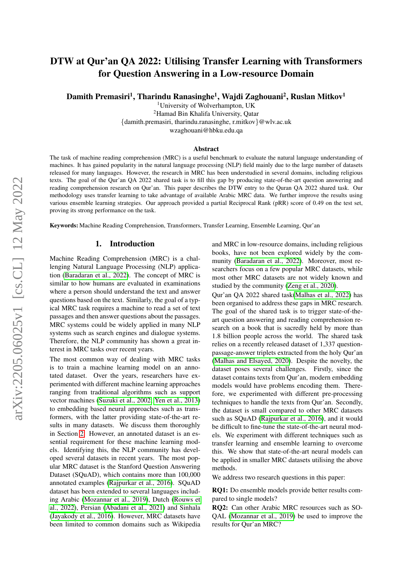# DTW at Qur'an QA 2022: Utilising Transfer Learning with Transformers for Question Answering in a Low-resource Domain

Damith Premasiri<sup>1</sup>, Tharindu Ranasinghe<sup>1</sup>, Wajdi Zaghouani<sup>2</sup>, Ruslan Mitkov<sup>1</sup>

<sup>1</sup>University of Wolverhampton, UK <sup>2</sup>Hamad Bin Khalifa University, Qatar {damith.premasiri, tharindu.ranasinghe, r.mitkov}@wlv.ac.uk wzaghouani@hbku.edu.qa

#### Abstract

The task of machine reading comprehension (MRC) is a useful benchmark to evaluate the natural language understanding of machines. It has gained popularity in the natural language processing (NLP) field mainly due to the large number of datasets released for many languages. However, the research in MRC has been understudied in several domains, including religious texts. The goal of the Qur'an QA 2022 shared task is to fill this gap by producing state-of-the-art question answering and reading comprehension research on Qur'an. This paper describes the DTW entry to the Quran QA 2022 shared task. Our methodology uses transfer learning to take advantage of available Arabic MRC data. We further improve the results using various ensemble learning strategies. Our approach provided a partial Reciprocal Rank (pRR) score of 0.49 on the test set, proving its strong performance on the task.

Keywords: Machine Reading Comprehension, Transformers, Transfer Learning, Ensemble Learning, Qur'an

#### 1. Introduction

Machine Reading Comprehension (MRC) is a challenging Natural Language Processing (NLP) application [\(Baradaran et al., 2022\)](#page-5-0). The concept of MRC is similar to how humans are evaluated in examinations where a person should understand the text and answer questions based on the text. Similarly, the goal of a typical MRC task requires a machine to read a set of text passages and then answer questions about the passages. MRC systems could be widely applied in many NLP systems such as search engines and dialogue systems. Therefore, the NLP community has shown a great interest in MRC tasks over recent years.

The most common way of dealing with MRC tasks is to train a machine learning model on an annotated dataset. Over the years, researchers have experimented with different machine learning approaches ranging from traditional algorithms such as support vector machines [\(Suzuki et al., 2002;](#page-6-0) [Yen et al., 2013\)](#page-7-0) to embedding based neural approaches such as transformers, with the latter providing state-of-the-art results in many datasets. We discuss them thoroughly in Section [2.](#page-1-0) However, an annotated dataset is an essential requirement for these machine learning models. Identifying this, the NLP community has developed several datasets in recent years. The most popular MRC dataset is the Stanford Question Answering Dataset (SQuAD), which contains more than 100,000 annotated examples [\(Rajpurkar et al., 2016\)](#page-6-1). SQuAD dataset has been extended to several languages including Arabic [\(Mozannar et al., 2019\)](#page-6-2), Dutch [\(Rouws et](#page-6-3) [al., 2022\)](#page-6-3), Persian [\(Abadani et al., 2021\)](#page-5-1) and Sinhala [\(Jayakody et al., 2016\)](#page-5-2). However, MRC datasets have been limited to common domains such as Wikipedia

and MRC in low-resource domains, including religious books, have not been explored widely by the community [\(Baradaran et al., 2022\)](#page-5-0). Moreover, most researchers focus on a few popular MRC datasets, while most other MRC datasets are not widely known and studied by the community [\(Zeng et al., 2020\)](#page-7-1).

Qur'an QA 2022 shared task[\(Malhas et al., 2022\)](#page-6-4) has been organised to address these gaps in MRC research. The goal of the shared task is to trigger state-of-theart question answering and reading comprehension research on a book that is sacredly held by more than 1.8 billion people across the world. The shared task relies on a recently released dataset of 1,337 questionpassage-answer triplets extracted from the holy Qur'an [\(Malhas and Elsayed, 2020\)](#page-6-5). Despite the novelty, the dataset poses several challenges. Firstly, since the dataset contains texts from Qur'an, modern embedding models would have problems encoding them. Therefore, we experimented with different pre-processing techniques to handle the texts from Qur'an. Secondly, the dataset is small compared to other MRC datasets such as SQuAD [\(Rajpurkar et al., 2016\)](#page-6-1), and it would be difficult to fine-tune the state-of-the-art neural models. We experiment with different techniques such as transfer learning and ensemble learning to overcome this. We show that state-of-the-art neural models can be applied in smaller MRC datasets utilising the above methods.

We address two research questions in this paper:

RQ1: Do ensemble models provide better results compared to single models?

RQ2: Can other Arabic MRC resources such as SO-QAL [\(Mozannar et al., 2019\)](#page-6-2) be used to improve the results for Qur'an MRC?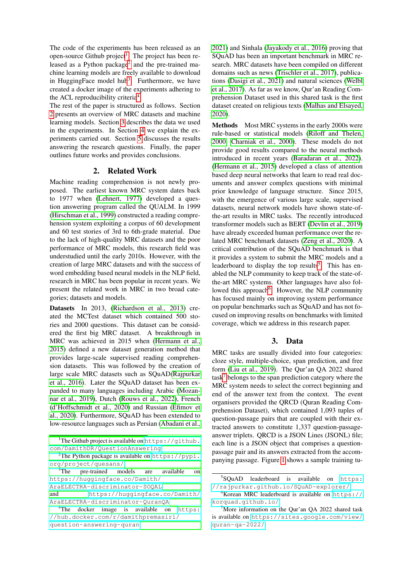The code of the experiments has been released as an open-source Github project<sup>[1](#page-1-1)</sup>. The project has been re-leased as a Python package<sup>[2](#page-1-2)</sup> and the pre-trained machine learning models are freely available to download in HuggingFace model hub<sup>[3](#page-1-3)</sup>. Furthermore, we have created a docker image of the experiments adhering to the ACL reproducibility criteria<sup>[4](#page-1-4)</sup>.

The rest of the paper is structured as follows. Section [2](#page-1-0) presents an overview of MRC datasets and machine learning models. Section [3](#page-1-5) describes the data we used in the experiments. In Section [4](#page-2-0) we explain the experiments carried out. Section [5](#page-3-0) discusses the results answering the research questions. Finally, the paper outlines future works and provides conclusions.

## 2. Related Work

<span id="page-1-0"></span>Machine reading comprehension is not newly proposed. The earliest known MRC system dates back to 1977 when [\(Lehnert, 1977\)](#page-6-6) developed a question answering program called the QUALM. In 1999 [\(Hirschman et al., 1999\)](#page-5-3) constructed a reading comprehension system exploiting a corpus of 60 development and 60 test stories of 3rd to 6th-grade material. Due to the lack of high-quality MRC datasets and the poor performance of MRC models, this research field was understudied until the early 2010s. However, with the creation of large MRC datasets and with the success of word embedding based neural models in the NLP field, research in MRC has been popular in recent years. We present the related work in MRC in two broad categories; datasets and models.

Datasets In 2013, [\(Richardson et al., 2013\)](#page-6-7) created the MCTest dataset which contained 500 stories and 2000 questions. This dataset can be considered the first big MRC dataset. A breakthrough in MRC was achieved in 2015 when [\(Hermann et al.,](#page-5-4) [2015\)](#page-5-4) defined a new dataset generation method that provides large-scale supervised reading comprehension datasets. This was followed by the creation of large scale MRC datasets such as SQuAD[\(Rajpurkar](#page-6-1) [et al., 2016\)](#page-6-1). Later the SQuAD dataset has been expanded to many languages including Arabic [\(Mozan](#page-6-2)[nar et al., 2019\)](#page-6-2), Dutch [\(Rouws et al., 2022\)](#page-6-3), French [\(d'Hoffschmidt et al., 2020\)](#page-5-5) and Russian [\(Efimov et](#page-5-6) [al., 2020\)](#page-5-6). Furthermore, SQuAD has been extended to low-resource languages such as Persian [\(Abadani et al.,](#page-5-1)

[2021\)](#page-5-1) and Sinhala [\(Jayakody et al., 2016\)](#page-5-2) proving that SQuAD has been an important benchmark in MRC research. MRC datasets have been compiled on different domains such as news [\(Trischler et al., 2017\)](#page-6-8), publications [\(Dasigi et al., 2021\)](#page-5-7) and natural sciences [\(Welbl](#page-6-9) [et al., 2017\)](#page-6-9). As far as we know, Qur'an Reading Comprehension Dataset used in this shared task is the first dataset created on religious texts [\(Malhas and Elsayed,](#page-6-5) [2020\)](#page-6-5).

Methods Most MRC systems in the early 2000s were rule-based or statistical models [\(Riloff and Thelen,](#page-6-10) [2000;](#page-6-10) [Charniak et al., 2000\)](#page-5-8). These models do not provide good results compared to the neural methods introduced in recent years [\(Baradaran et al., 2022\)](#page-5-0). [\(Hermann et al., 2015\)](#page-5-4) developed a class of attention based deep neural networks that learn to read real documents and answer complex questions with minimal prior knowledge of language structure. Since 2015, with the emergence of various large scale, supervised datasets, neural network models have shown state-ofthe-art results in MRC tasks. The recently introduced transformer models such as BERT [\(Devlin et al., 2019\)](#page-5-9) have already exceeded human performance over the related MRC benchmark datasets [\(Zeng et al., 2020\)](#page-7-1). A critical contribution of the SQuAD benchmark is that it provides a system to submit the MRC models and a leaderboard to display the top results<sup>[5](#page-1-6)</sup>. This has enabled the NLP community to keep track of the state-ofthe-art MRC systems. Other languages have also fol-lowed this approach<sup>[6](#page-1-7)</sup>. However, the NLP community has focused mainly on improving system performance on popular benchmarks such as SQuAD and has not focused on improving results on benchmarks with limited coverage, which we address in this research paper.

## 3. Data

<span id="page-1-5"></span>MRC tasks are usually divided into four categories: cloze style, multiple-choice, span prediction, and free form [\(Liu et al., 2019\)](#page-6-11). The Qur'an QA 2022 shared  $task<sup>7</sup>$  $task<sup>7</sup>$  $task<sup>7</sup>$  belongs to the span prediction category where the MRC system needs to select the correct beginning and end of the answer text from the context. The event organisers provided the QRCD (Quran Reading Comprehension Dataset), which contained 1,093 tuples of question-passage pairs that are coupled with their extracted answers to constitute 1,337 question-passageanswer triplets. QRCD is a JSON Lines (JSONL) file; each line is a JSON object that comprises a questionpassage pair and its answers extracted from the accompanying passage. Figure [1](#page-2-1) shows a sample training tu-

<span id="page-1-1"></span><sup>&</sup>lt;sup>1</sup>[The Github project is available on](#page-5-1) [https://github.](https://github.com/DamithDR/QuestionAnswering) [com/DamithDR/QuestionAnswering](#page-5-1)

<span id="page-1-2"></span><sup>&</sup>lt;sup>2</sup>[The Python package is available on](#page-5-1)  $https://pypi.$ [org/project/quesans/](#page-5-1)

<span id="page-1-3"></span><sup>&</sup>lt;sup>3</sup>[The pre-trained models are available on](#page-5-1) [https://huggingface.co/Damith/](#page-5-1) [AraELECTRA-discriminator-SOQAL](#page-5-1)

and [https://huggingface.co/Damith/](#page-5-1) [AraELECTRA-discriminator-QuranQA](#page-5-1)

<span id="page-1-4"></span><sup>&</sup>lt;sup>4</sup>[The docker image is available on](#page-5-1) [https:](https://hub.docker.com/r/damithpremasiri/question-answering-quran) [//hub.docker.com/r/damithpremasiri/](#page-5-1) [question-answering-quran](#page-5-1)

<span id="page-1-6"></span><sup>5</sup> SQuAD leaderboard is available on [https:](https://rajpurkar.github.io/SQuAD-explorer/) [//rajpurkar.github.io/SQuAD-explorer/](https://rajpurkar.github.io/SQuAD-explorer/)

<span id="page-1-7"></span> $6$ Korean MRC leaderboard is available on [https://](https://korquad.github.io/) [korquad.github.io/](https://korquad.github.io/)

<span id="page-1-8"></span> $7$ More information on the Qur'an QA 2022 shared task is available on [https://sites.google.com/view/](https://sites.google.com/view/quran-qa-2022/) [quran-qa-2022/](https://sites.google.com/view/quran-qa-2022/)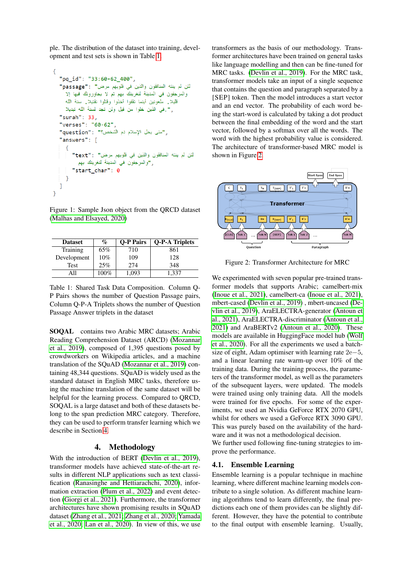ple. The distribution of the dataset into training, development and test sets is shown in Table [1.](#page-2-2)

```
\mathcal{L}_{\mathcal{L}}"pq_id": "33:60-62_400",
   لئن لم ينته المنافقون والذين في قلوبهم مرض" : "passage"
     والمرجفون في المدينة لنغرينك بهم ثم لا يجاورونك فيها إلا
     قليلا. ملعونين أينما ثقفوا أخذوا وقتلوا تقتيلا. سنة الله
     ر". في الذين خلوا من قبل ولن تجد لسنة الله تبديلا
   "surah": 33."verses": "60-62",
   "متى يحل الإسلام دم الشَّخص؟" : "question"
   "answers": [
      f
         لئن لم ينته المنافقون والذين في قلوبهم مرض" : "text"
            , "والمرجفون في المدينة لنغرينك بهم
         "start_char": 0
     \mathcal{E}ı
\mathcal{E}
```
<span id="page-2-1"></span>Figure 1: Sample Json object from the QRCD dataset [\(Malhas and Elsayed, 2020\)](#page-6-5)

| <b>Dataset</b> | $\%$ | <b>O-P Pairs</b> | <b>Q-P-A Triplets</b> |
|----------------|------|------------------|-----------------------|
| Training       | 65%  | 710              | 861                   |
| Development    | 10%  | 109              | 128                   |
| Test           | 25%  | 274              | 348                   |
|                | 100% | 1,093            | 1.337                 |

<span id="page-2-2"></span>Table 1: Shared Task Data Composition. Column Q-P Pairs shows the number of Question Passage pairs, Column Q-P-A Triplets shows the number of Question Passage Answer triplets in the dataset

SOQAL contains two Arabic MRC datasets; Arabic Reading Comprehension Dataset (ARCD) [\(Mozannar](#page-6-2) [et al., 2019\)](#page-6-2), composed of 1,395 questions posed by crowdworkers on Wikipedia articles, and a machine translation of the SQuAD [\(Mozannar et al., 2019\)](#page-6-2) containing 48,344 questions. SQuAD is widely used as the standard dataset in English MRC tasks, therefore using the machine translation of the same dataset will be helpful for the learning process. Compared to QRCD, SOQAL is a large dataset and both of these datasets belong to the span prediction MRC category. Therefore, they can be used to perform transfer learning which we describe in Section [4.](#page-2-0)

## 4. Methodology

<span id="page-2-0"></span>With the introduction of BERT [\(Devlin et al., 2019\)](#page-5-9), transformer models have achieved state-of-the-art results in different NLP applications such as text classification [\(Ranasinghe and Hettiarachchi, 2020\)](#page-6-12), information extraction [\(Plum et al., 2022\)](#page-6-13) and event detection [\(Giorgi et al., 2021\)](#page-5-10). Furthermore, the transformer architectures have shown promising results in SQuAD dataset [\(Zhang et al., 2021;](#page-7-2) [Zhang et al., 2020;](#page-7-3) [Yamada](#page-7-4) [et al., 2020;](#page-7-4) [Lan et al., 2020\)](#page-5-11). In view of this, we use transformers as the basis of our methodology. Transformer architectures have been trained on general tasks like language modelling and then can be fine-tuned for MRC tasks. [\(Devlin et al., 2019\)](#page-5-9). For the MRC task, transformer models take an input of a single sequence that contains the question and paragraph separated by a [SEP] token. Then the model introduces a start vector and an end vector. The probability of each word being the start-word is calculated by taking a dot product between the final embedding of the word and the start vector, followed by a softmax over all the words. The word with the highest probability value is considered. The architecture of transformer-based MRC model is shown in Figure [2.](#page-2-3)



<span id="page-2-3"></span>Figure 2: Transformer Architecture for MRC

We experimented with seven popular pre-trained transformer models that supports Arabic; camelbert-mix [\(Inoue et al., 2021\)](#page-5-12), camelbert-ca [\(Inoue et al., 2021\)](#page-5-12), mbert-cased [\(Devlin et al., 2019\)](#page-5-9) , mbert-uncased [\(De](#page-5-9)[vlin et al., 2019\)](#page-5-9), AraELECTRA-generator [\(Antoun et](#page-5-13) [al., 2021\)](#page-5-13), AraELECTRA-discriminator [\(Antoun et al.,](#page-5-13) [2021\)](#page-5-13) and AraBERTv2 [\(Antoun et al., 2020\)](#page-5-14). These models are available in HuggingFace model hub [\(Wolf](#page-6-14) [et al., 2020\)](#page-6-14). For all the experiments we used a batchsize of eight, Adam optimiser with learning rate 2e−5, and a linear learning rate warm-up over 10% of the training data. During the training process, the parameters of the transformer model, as well as the parameters of the subsequent layers, were updated. The models were trained using only training data. All the models were trained for five epochs. For some of the experiments, we used an Nvidia GeForce RTX 2070 GPU, whilst for others we used a GeForce RTX 3090 GPU. This was purely based on the availability of the hardware and it was not a methodological decision.

We further used following fine-tuning strategies to improve the performance.

## 4.1. Ensemble Learning

Ensemble learning is a popular technique in machine learning, where different machine learning models contribute to a single solution. As different machine learning algorithms tend to learn differently, the final predictions each one of them provides can be slightly different. However, they have the potential to contribute to the final output with ensemble learning. Usually,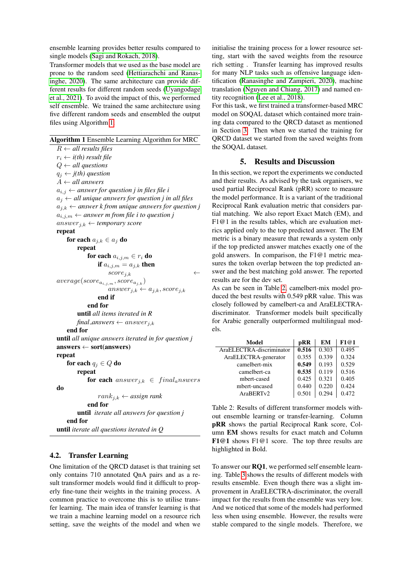ensemble learning provides better results compared to single models [\(Sagi and Rokach, 2018\)](#page-6-15).

Transformer models that we used as the base model are prone to the random seed [\(Hettiarachchi and Ranas](#page-5-15)[inghe, 2020\)](#page-5-15). The same architecture can provide different results for different random seeds [\(Uyangodage](#page-6-16) [et al., 2021\)](#page-6-16). To avoid the impact of this, we performed self ensemble. We trained the same architecture using five different random seeds and ensembled the output files using Algorithm [1.](#page-3-1)

<span id="page-3-1"></span>Algorithm 1 Ensemble Learning Algorithm for MRC

 $R \leftarrow all$  results files  $r_i \leftarrow i(th)$  result file Q ← *all questions*  $q_j \leftarrow j(th)$  question A ← *all answers*  $a_{i,j} \leftarrow$  *answer for question j in files file i*  $a_j \leftarrow$  *all unique answers for question j in all files*  $a_{i,k} \leftarrow$  answer k from unique answers for question *j*  $a_{i,j,m} \leftarrow$  *answer m from file i to question j* answer<sub>j,k</sub>  $\leftarrow$  *temporary score* repeat for each  $a_{i,k} \in a_i$  do repeat for each  $a_{i,j,m} \in r_i$  do if  $a_{i,j,m} = a_{j,k}$  then  $score_{i,k}$  $average({score}_{a_{i,j,m}},{score}_{a_{j,k}})$  $answer_{j,k} \leftarrow a_{j,k}, score_{j,k}$ end if end for until *all items iterated in R*  $final\_answers \leftarrow answer_{j,k}$ end for until *all unique answers iterated in for question j*  $answers \leftarrow sort(answers)$ repeat for each  $q_i \in Q$  do repeat for each answer<sub>ik</sub>  $\in$  final<sub>a</sub>nswers do  $rank_{i,k} \leftarrow assign$  rank end for until *iterate all answers for question j* end for until *iterate all questions iterated in Q*

## 4.2. Transfer Learning

One limitation of the QRCD dataset is that training set only contains 710 annotated QnA pairs and as a result transformer models would find it difficult to properly fine-tune their weights in the training process. A common practice to overcome this is to utilise transfer learning. The main idea of transfer learning is that we train a machine learning model on a resource rich setting, save the weights of the model and when we initialise the training process for a lower resource setting, start with the saved weights from the resource rich setting . Transfer learning has improved results for many NLP tasks such as offensive language identification [\(Ranasinghe and Zampieri, 2020\)](#page-6-17), machine translation [\(Nguyen and Chiang, 2017\)](#page-6-18) and named entity recognition [\(Lee et al., 2018\)](#page-5-16).

For this task, we first trained a transformer-based MRC model on SOQAL dataset which contained more training data compared to the QRCD dataset as mentioned in Section [3.](#page-1-5) Then when we started the training for QRCD dataset we started from the saved weights from the SOQAL dataset.

# 5. Results and Discussion

<span id="page-3-0"></span>In this section, we report the experiments we conducted and their results. As advised by the task organisers, we used partial Reciprocal Rank (pRR) score to measure the model performance. It is a variant of the traditional Reciprocal Rank evaluation metric that considers partial matching. We also report Exact Match (EM), and F1@1 in the results tables, which are evaluation metrics applied only to the top predicted answer. The EM metric is a binary measure that rewards a system only if the top predicted answer matches exactly one of the gold answers. In comparison, the F1@1 metric measures the token overlap between the top predicted answer and the best matching gold answer. The reported results are for the dev set.

As can be seen in Table [2,](#page-3-2) camelbert-mix model produced the best results with 0.549 pRR value. This was closely followed by camelbert-ca and AraELECTRAdiscriminator. Transformer models built specifically for Arabic generally outperformed multilingual models.

| Model                    | pRR   | EM    | F1@1  |
|--------------------------|-------|-------|-------|
| AraELECTRA-discriminator | 0.516 | 0.303 | 0.495 |
| AraELECTRA-generator     | 0.355 | 0.339 | 0.324 |
| camelbert-mix            | 0.549 | 0.193 | 0.529 |
| camelbert-ca             | 0.535 | 0.119 | 0.516 |
| mbert-cased              | 0.425 | 0.321 | 0.405 |
| mbert-uncased            | 0.440 | 0.220 | 0.424 |
| AraBERTv2                | 0.501 | 0.294 | 0.472 |

<span id="page-3-2"></span>Table 2: Results of different transformer models without ensemble learning or transfer-learning. Column pRR shows the partial Reciprocal Rank score, Column EM shows results for exact match and Column F1@1 shows F1@1 score. The top three results are highlighted in Bold.

To answer our **RO1**, we performed self ensemble learning. Table [3](#page-4-0) shows the results of different models with results ensemble. Even though there was a slight improvement in AraELECTRA-discriminator, the overall impact for the results from the ensemble was very low. And we noticed that some of the models had performed less when using ensemble. However, the results were stable compared to the single models. Therefore, we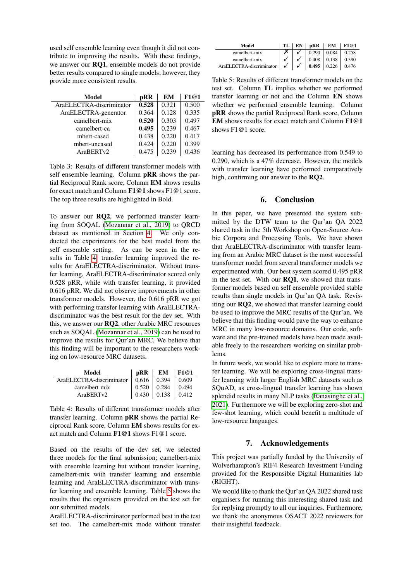used self ensemble learning even though it did not contribute to improving the results. With these findings, we answer our RQ1, ensemble models do not provide better results compared to single models; however, they provide more consistent results.

| Model                    | pRR   | EM    | F1@1  |
|--------------------------|-------|-------|-------|
| AraELECTRA-discriminator | 0.528 | 0.321 | 0.500 |
| AraELECTRA-generator     | 0.364 | 0.128 | 0.335 |
| camelbert-mix            | 0.520 | 0.303 | 0.497 |
| camelbert-ca             | 0.495 | 0.239 | 0.467 |
| mbert-cased              | 0.438 | 0.220 | 0.417 |
| mbert-uncased            | 0.424 | 0.220 | 0.399 |
| AraBERTv2                | 0.475 | 0.239 | 0.436 |

<span id="page-4-0"></span>Table 3: Results of different transformer models with self ensemble learning. Column pRR shows the partial Reciprocal Rank score, Column EM shows results for exact match and Column F1@1 shows F1@1 score. The top three results are highlighted in Bold.

To answer our RQ2, we performed transfer learning from SOQAL [\(Mozannar et al., 2019\)](#page-6-2) to QRCD dataset as mentioned in Section [4.](#page-2-0) We only conducted the experiments for the best model from the self ensemble setting. As can be seen in the results in Table [4,](#page-4-1) transfer learning improved the results for AraELECTRA-discriminator. Without transfer learning, AraELECTRA-discriminator scored only 0.528 pRR, while with transfer learning, it provided 0.616 pRR. We did not observe improvements in other transformer models. However, the 0.616 pRR we got with performing transfer learning with AraELECTRAdiscriminator was the best result for the dev set. With this, we answer our RQ2, other Arabic MRC resources such as SOQAL [\(Mozannar et al., 2019\)](#page-6-2) can be used to improve the results for Qur'an MRC. We believe that this finding will be important to the researchers working on low-resource MRC datasets.

| Model                    | pRR                                   | $EM$ F1@1 |
|--------------------------|---------------------------------------|-----------|
| AraELECTRA-discriminator | $0.616 \pm 0.394$                     | 0.609     |
| camelbert-mix            | $0.520 \cdot 0.284$                   | 0.494     |
| AraBERTy2                | $\vert 0.430 \vert 0.138 \vert 0.412$ |           |

<span id="page-4-1"></span>Table 4: Results of different transformer models after transfer learning. Column pRR shows the partial Reciprocal Rank score, Column EM shows results for exact match and Column F1@1 shows F1@1 score.

Based on the results of the dev set, we selected three models for the final submission; camelbert-mix with ensemble learning but without transfer learning, camelbert-mix with transfer learning and ensemble learning and AraELECTRA-discriminator with transfer learning and ensemble learning. Table [5](#page-4-2) shows the results that the organisers provided on the test set for our submitted models.

AraELECTRA-discriminator performed best in the test set too. The camelbert-mix mode without transfer

| Model                    |              |   | <b>pRR</b> | EM    | F1@1  |
|--------------------------|--------------|---|------------|-------|-------|
| camelbert-mix            |              |   | 0.290      | 0.084 | 0.258 |
| camelbert-mix            |              |   | 0.408      | 0.138 | 0.390 |
| AraELECTRA-discriminator | $\checkmark$ | ✓ | 0.495      | 0.226 | 0.476 |

<span id="page-4-2"></span>Table 5: Results of different transformer models on the test set. Column TL implies whether we performed transfer learning or not and the Column EN shows whether we performed ensemble learning. Column pRR shows the partial Reciprocal Rank score, Column EM shows results for exact match and Column F1@1 shows  $F1@1$  score.

learning has decreased its performance from 0.549 to 0.290, which is a 47% decrease. However, the models with transfer learning have performed comparatively high, confirming our answer to the RQ2.

## 6. Conclusion

In this paper, we have presented the system submitted by the DTW team to the Qur'an QA 2022 shared task in the 5th Workshop on Open-Source Arabic Corpora and Processing Tools. We have shown that AraELECTRA-discriminator with transfer learning from an Arabic MRC dataset is the most successful transformer model from several transformer models we experimented with. Our best system scored 0.495 pRR in the test set. With our RQ1, we showed that transformer models based on self ensemble provided stable results than single models in Qur'an QA task. Revisiting our RQ2, we showed that transfer learning could be used to improve the MRC results of the Qur'an. We believe that this finding would pave the way to enhance MRC in many low-resource domains. Our code, software and the pre-trained models have been made available freely to the researchers working on similar problems.

In future work, we would like to explore more to transfer learning. We will be exploring cross-lingual transfer learning with larger English MRC datasets such as SQuAD, as cross-lingual transfer learning has shown splendid results in many NLP tasks [\(Ranasinghe et al.,](#page-6-19) [2021\)](#page-6-19). Furthermore we will be exploring zero-shot and few-shot learning, which could benefit a multitude of low-resource languages.

## 7. Acknowledgements

This project was partially funded by the University of Wolverhampton's RIF4 Research Investment Funding provided for the Responsible Digital Humanities lab (RIGHT).

We would like to thank the Qur'an QA 2022 shared task organisers for running this interesting shared task and for replying promptly to all our inquiries. Furthermore, we thank the anonymous OSACT 2022 reviewers for their insightful feedback.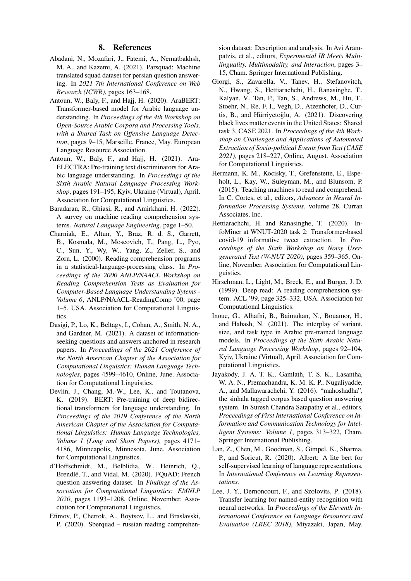#### 8. References

- <span id="page-5-1"></span>Abadani, N., Mozafari, J., Fatemi, A., Nematbakhsh, M. A., and Kazemi, A. (2021). Parsquad: Machine translated squad dataset for persian question answering. In *2021 7th International Conference on Web Research (ICWR)*, pages 163–168.
- <span id="page-5-14"></span>Antoun, W., Baly, F., and Hajj, H. (2020). AraBERT: Transformer-based model for Arabic language understanding. In *Proceedings of the 4th Workshop on Open-Source Arabic Corpora and Processing Tools, with a Shared Task on Offensive Language Detection*, pages 9–15, Marseille, France, May. European Language Resource Association.
- <span id="page-5-13"></span>Antoun, W., Baly, F., and Hajj, H. (2021). Ara-ELECTRA: Pre-training text discriminators for Arabic language understanding. In *Proceedings of the Sixth Arabic Natural Language Processing Workshop*, pages 191–195, Kyiv, Ukraine (Virtual), April. Association for Computational Linguistics.
- <span id="page-5-0"></span>Baradaran, R., Ghiasi, R., and Amirkhani, H. (2022). A survey on machine reading comprehension systems. *Natural Language Engineering*, page 1–50.
- <span id="page-5-8"></span>Charniak, E., Altun, Y., Braz, R. d. S., Garrett, B., Kosmala, M., Moscovich, T., Pang, L., Pyo, C., Sun, Y., Wy, W., Yang, Z., Zeller, S., and Zorn, L. (2000). Reading comprehension programs in a statistical-language-processing class. In *Proceedings of the 2000 ANLP/NAACL Workshop on Reading Comprehension Tests as Evaluation for Computer-Based Language Understanding Sytems - Volume 6*, ANLP/NAACL-ReadingComp '00, page 1–5, USA. Association for Computational Linguistics.
- <span id="page-5-7"></span>Dasigi, P., Lo, K., Beltagy, I., Cohan, A., Smith, N. A., and Gardner, M. (2021). A dataset of informationseeking questions and answers anchored in research papers. In *Proceedings of the 2021 Conference of the North American Chapter of the Association for Computational Linguistics: Human Language Technologies*, pages 4599–4610, Online, June. Association for Computational Linguistics.
- <span id="page-5-9"></span>Devlin, J., Chang, M.-W., Lee, K., and Toutanova, K. (2019). BERT: Pre-training of deep bidirectional transformers for language understanding. In *Proceedings of the 2019 Conference of the North American Chapter of the Association for Computational Linguistics: Human Language Technologies, Volume 1 (Long and Short Papers)*, pages 4171– 4186, Minneapolis, Minnesota, June. Association for Computational Linguistics.
- <span id="page-5-5"></span>d'Hoffschmidt, M., Belblidia, W., Heinrich, Q., Brendlé, T., and Vidal, M. (2020). FQuAD: French question answering dataset. In *Findings of the Association for Computational Linguistics: EMNLP 2020*, pages 1193–1208, Online, November. Association for Computational Linguistics.
- <span id="page-5-6"></span>Efimov, P., Chertok, A., Boytsov, L., and Braslavski, P. (2020). Sberquad – russian reading comprehen-

sion dataset: Description and analysis. In Avi Arampatzis, et al., editors, *Experimental IR Meets Multilinguality, Multimodality, and Interaction*, pages 3– 15, Cham. Springer International Publishing.

- <span id="page-5-10"></span>Giorgi, S., Zavarella, V., Tanev, H., Stefanovitch, N., Hwang, S., Hettiarachchi, H., Ranasinghe, T., Kalyan, V., Tan, P., Tan, S., Andrews, M., Hu, T., Stoehr, N., Re, F. I., Vegh, D., Atzenhofer, D., Curtis, B., and Hürriyetoğlu, A. (2021). Discovering black lives matter events in the United States: Shared task 3, CASE 2021. In *Proceedings of the 4th Workshop on Challenges and Applications of Automated Extraction of Socio-political Events from Text (CASE 2021)*, pages 218–227, Online, August. Association for Computational Linguistics.
- <span id="page-5-4"></span>Hermann, K. M., Kocisky, T., Grefenstette, E., Espeholt, L., Kay, W., Suleyman, M., and Blunsom, P. (2015). Teaching machines to read and comprehend. In C. Cortes, et al., editors, *Advances in Neural Information Processing Systems*, volume 28. Curran Associates, Inc.
- <span id="page-5-15"></span>Hettiarachchi, H. and Ranasinghe, T. (2020). InfoMiner at WNUT-2020 task 2: Transformer-based covid-19 informative tweet extraction. In *Proceedings of the Sixth Workshop on Noisy Usergenerated Text (W-NUT 2020)*, pages 359–365, Online, November. Association for Computational Linguistics.
- <span id="page-5-3"></span>Hirschman, L., Light, M., Breck, E., and Burger, J. D. (1999). Deep read: A reading comprehension system. ACL '99, page 325–332, USA. Association for Computational Linguistics.
- <span id="page-5-12"></span>Inoue, G., Alhafni, B., Baimukan, N., Bouamor, H., and Habash, N. (2021). The interplay of variant, size, and task type in Arabic pre-trained language models. In *Proceedings of the Sixth Arabic Natural Language Processing Workshop*, pages 92–104, Kyiv, Ukraine (Virtual), April. Association for Computational Linguistics.
- <span id="page-5-2"></span>Jayakody, J. A. T. K., Gamlath, T. S. K., Lasantha, W. A. N., Premachandra, K. M. K. P., Nugaliyadde, A., and Mallawarachchi, Y. (2016). "mahoshadha", the sinhala tagged corpus based question answering system. In Suresh Chandra Satapathy et al., editors, *Proceedings of First International Conference on Information and Communication Technology for Intelligent Systems: Volume 1*, pages 313–322, Cham. Springer International Publishing.
- <span id="page-5-11"></span>Lan, Z., Chen, M., Goodman, S., Gimpel, K., Sharma, P., and Soricut, R. (2020). Albert: A lite bert for self-supervised learning of language representations. In *International Conference on Learning Representations*.
- <span id="page-5-16"></span>Lee, J. Y., Dernoncourt, F., and Szolovits, P. (2018). Transfer learning for named-entity recognition with neural networks. In *Proceedings of the Eleventh International Conference on Language Resources and Evaluation (LREC 2018)*, Miyazaki, Japan, May.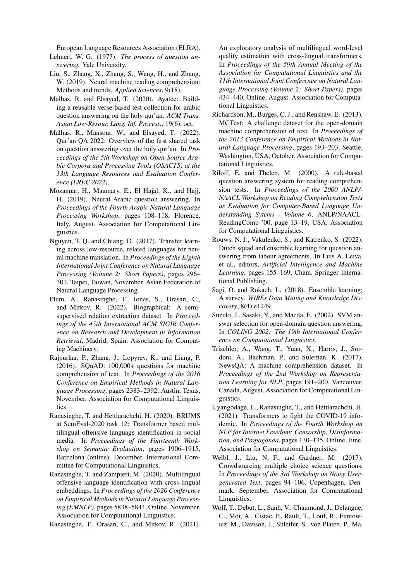European Language Resources Association (ELRA).

- <span id="page-6-6"></span>Lehnert, W. G. (1977). *The process of question answering.* Yale University.
- <span id="page-6-11"></span>Liu, S., Zhang, X., Zhang, S., Wang, H., and Zhang, W. (2019). Neural machine reading comprehension: Methods and trends. *Applied Sciences*, 9(18).
- <span id="page-6-5"></span>Malhas, R. and Elsayed, T. (2020). Ayatec: Building a reusable verse-based test collection for arabic question answering on the holy qur'an. *ACM Trans. Asian Low-Resour. Lang. Inf. Process.*, 19(6), oct.
- <span id="page-6-4"></span>Malhas, R., Mansour, W., and Elsayed, T. (2022). Qur'an QA 2022: Overview of the first shared task on question answering over the holy qur'an. In *Proceedings of the 5th Workshop on Open-Source Arabic Corpora and Processing Tools (OSACT5) at the 13th Language Resources and Evaluation Conference (LREC 2022)*.
- <span id="page-6-2"></span>Mozannar, H., Maamary, E., El Hajal, K., and Hajj, H. (2019). Neural Arabic question answering. In *Proceedings of the Fourth Arabic Natural Language Processing Workshop*, pages 108–118, Florence, Italy, August. Association for Computational Linguistics.
- <span id="page-6-18"></span>Nguyen, T. Q. and Chiang, D. (2017). Transfer learning across low-resource, related languages for neural machine translation. In *Proceedings of the Eighth International Joint Conference on Natural Language Processing (Volume 2: Short Papers)*, pages 296– 301, Taipei, Taiwan, November. Asian Federation of Natural Language Processing.
- <span id="page-6-13"></span>Plum, A., Ranasinghe, T., Jones, S., Orasan, C., and Mitkov, R. (2022). Biographical: A semisupervised relation extraction dataset. In *Proceedings of the 45th International ACM SIGIR Conference on Research and Development in Information Retrieval*, Madrid, Spain. Association for Computing Machinery.
- <span id="page-6-1"></span>Rajpurkar, P., Zhang, J., Lopyrev, K., and Liang, P. (2016). SQuAD: 100,000+ questions for machine comprehension of text. In *Proceedings of the 2016 Conference on Empirical Methods in Natural Language Processing*, pages 2383–2392, Austin, Texas, November. Association for Computational Linguistics.
- <span id="page-6-12"></span>Ranasinghe, T. and Hettiarachchi, H. (2020). BRUMS at SemEval-2020 task 12: Transformer based multilingual offensive language identification in social media. In *Proceedings of the Fourteenth Workshop on Semantic Evaluation*, pages 1906–1915, Barcelona (online), December. International Committee for Computational Linguistics.
- <span id="page-6-17"></span>Ranasinghe, T. and Zampieri, M. (2020). Multilingual offensive language identification with cross-lingual embeddings. In *Proceedings of the 2020 Conference on Empirical Methods in Natural Language Processing (EMNLP)*, pages 5838–5844, Online, November. Association for Computational Linguistics.

<span id="page-6-19"></span>Ranasinghe, T., Orasan, C., and Mitkov, R. (2021).

An exploratory analysis of multilingual word-level quality estimation with cross-lingual transformers. In *Proceedings of the 59th Annual Meeting of the Association for Computational Linguistics and the 11th International Joint Conference on Natural Language Processing (Volume 2: Short Papers)*, pages 434–440, Online, August. Association for Computational Linguistics.

- <span id="page-6-7"></span>Richardson, M., Burges, C. J., and Renshaw, E. (2013). MCTest: A challenge dataset for the open-domain machine comprehension of text. In *Proceedings of the 2013 Conference on Empirical Methods in Natural Language Processing*, pages 193–203, Seattle, Washington, USA, October. Association for Computational Linguistics.
- <span id="page-6-10"></span>Riloff, E. and Thelen, M. (2000). A rule-based question answering system for reading comprehension tests. In *Proceedings of the 2000 ANLP/- NAACL Workshop on Reading Comprehension Tests as Evaluation for Computer-Based Language Understanding Sytems - Volume 6*, ANLP/NAACL-ReadingComp '00, page 13–19, USA. Association for Computational Linguistics.
- <span id="page-6-3"></span>Rouws, N. J., Vakulenko, S., and Katrenko, S. (2022). Dutch squad and ensemble learning for question answering from labour agreements. In Luis A. Leiva, et al., editors, *Artificial Intelligence and Machine Learning*, pages 155–169, Cham. Springer International Publishing.
- <span id="page-6-15"></span>Sagi, O. and Rokach, L. (2018). Ensemble learning: A survey. *WIREs Data Mining and Knowledge Discovery*, 8(4):e1249.
- <span id="page-6-0"></span>Suzuki, J., Sasaki, Y., and Maeda, E. (2002). SVM answer selection for open-domain question answering. In *COLING 2002: The 19th International Conference on Computational Linguistics*.
- <span id="page-6-8"></span>Trischler, A., Wang, T., Yuan, X., Harris, J., Sordoni, A., Bachman, P., and Suleman, K. (2017). NewsQA: A machine comprehension dataset. In *Proceedings of the 2nd Workshop on Representation Learning for NLP*, pages 191–200, Vancouver, Canada, August. Association for Computational Linguistics.
- <span id="page-6-16"></span>Uyangodage, L., Ranasinghe, T., and Hettiarachchi, H. (2021). Transformers to fight the COVID-19 infodemic. In *Proceedings of the Fourth Workshop on NLP for Internet Freedom: Censorship, Disinformation, and Propaganda*, pages 130–135, Online, June. Association for Computational Linguistics.
- <span id="page-6-9"></span>Welbl, J., Liu, N. F., and Gardner, M. (2017). Crowdsourcing multiple choice science questions. In *Proceedings of the 3rd Workshop on Noisy Usergenerated Text*, pages 94–106, Copenhagen, Denmark, September. Association for Computational Linguistics.
- <span id="page-6-14"></span>Wolf, T., Debut, L., Sanh, V., Chaumond, J., Delangue, C., Moi, A., Cistac, P., Rault, T., Louf, R., Funtowicz, M., Davison, J., Shleifer, S., von Platen, P., Ma,